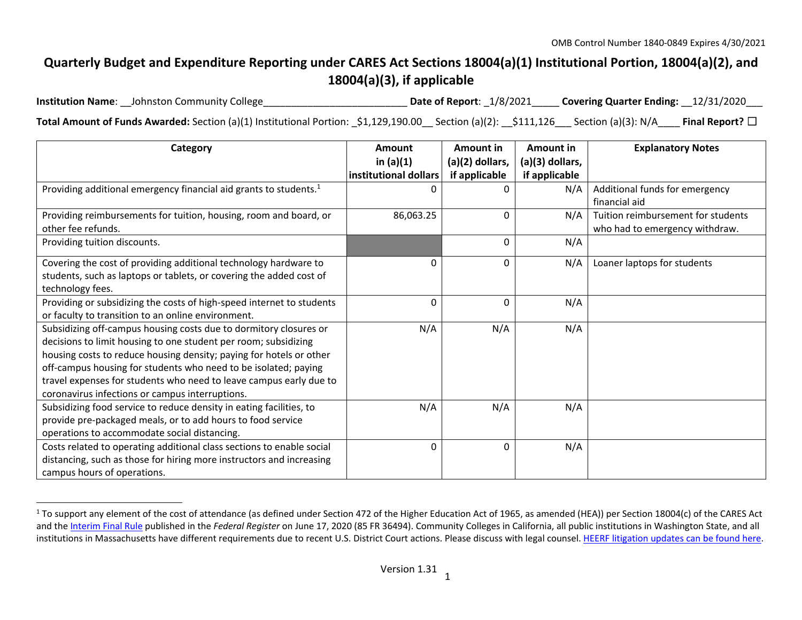# **Quarterly Budget and Expenditure Reporting under CARES Act Sections 18004(a)(1) Institutional Portion, 18004(a)(2), and 18004(a)(3), if applicable**

**Institution Name**: Date of Report:  $1/8/2021$  Covering Quarter Ending:  $12/31/2020$ **Total Amount of Funds Awarded:** Section (a)(1) Institutional Portion: \_\$1,129,190.00\_\_ Section (a)(2): \_\_\$111,126\_\_\_ Section (a)(3): N/A\_\_\_\_ **Final Report?** ☐

| Category                                                                      | Amount                | Amount in         | Amount in       | <b>Explanatory Notes</b>           |
|-------------------------------------------------------------------------------|-----------------------|-------------------|-----------------|------------------------------------|
|                                                                               | in $(a)(1)$           | $(a)(2)$ dollars, | (a)(3) dollars, |                                    |
|                                                                               | institutional dollars | if applicable     | if applicable   |                                    |
| Providing additional emergency financial aid grants to students. <sup>1</sup> |                       | 0                 | N/A             | Additional funds for emergency     |
|                                                                               |                       |                   |                 | financial aid                      |
| Providing reimbursements for tuition, housing, room and board, or             | 86,063.25             | 0                 | N/A             | Tuition reimbursement for students |
| other fee refunds.                                                            |                       |                   |                 | who had to emergency withdraw.     |
| Providing tuition discounts.                                                  |                       | 0                 | N/A             |                                    |
| Covering the cost of providing additional technology hardware to              | 0                     | 0                 | N/A             | Loaner laptops for students        |
| students, such as laptops or tablets, or covering the added cost of           |                       |                   |                 |                                    |
| technology fees.                                                              |                       |                   |                 |                                    |
| Providing or subsidizing the costs of high-speed internet to students         | 0                     | 0                 | N/A             |                                    |
| or faculty to transition to an online environment.                            |                       |                   |                 |                                    |
| Subsidizing off-campus housing costs due to dormitory closures or             | N/A                   | N/A               | N/A             |                                    |
| decisions to limit housing to one student per room; subsidizing               |                       |                   |                 |                                    |
| housing costs to reduce housing density; paying for hotels or other           |                       |                   |                 |                                    |
| off-campus housing for students who need to be isolated; paying               |                       |                   |                 |                                    |
| travel expenses for students who need to leave campus early due to            |                       |                   |                 |                                    |
| coronavirus infections or campus interruptions.                               |                       |                   |                 |                                    |
| Subsidizing food service to reduce density in eating facilities, to           | N/A                   | N/A               | N/A             |                                    |
| provide pre-packaged meals, or to add hours to food service                   |                       |                   |                 |                                    |
| operations to accommodate social distancing.                                  |                       |                   |                 |                                    |
| Costs related to operating additional class sections to enable social         | 0                     | 0                 | N/A             |                                    |
| distancing, such as those for hiring more instructors and increasing          |                       |                   |                 |                                    |
| campus hours of operations.                                                   |                       |                   |                 |                                    |

<sup>&</sup>lt;sup>1</sup> To support any element of the cost of attendance (as defined under Section 472 of the Higher Education Act of 1965, as amended (HEA)) per Section 18004(c) of the CARES Act and the Interim Final Rule published in the *Federal Register* on June 17, 2020 (85 FR 36494). Community Colleges in California, all public institutions in Washington State, and all institutions in Massachusetts have different requirements due to recent U.S. District Court actions. Please discuss with legal counsel. HEERF litigation updates can be found here.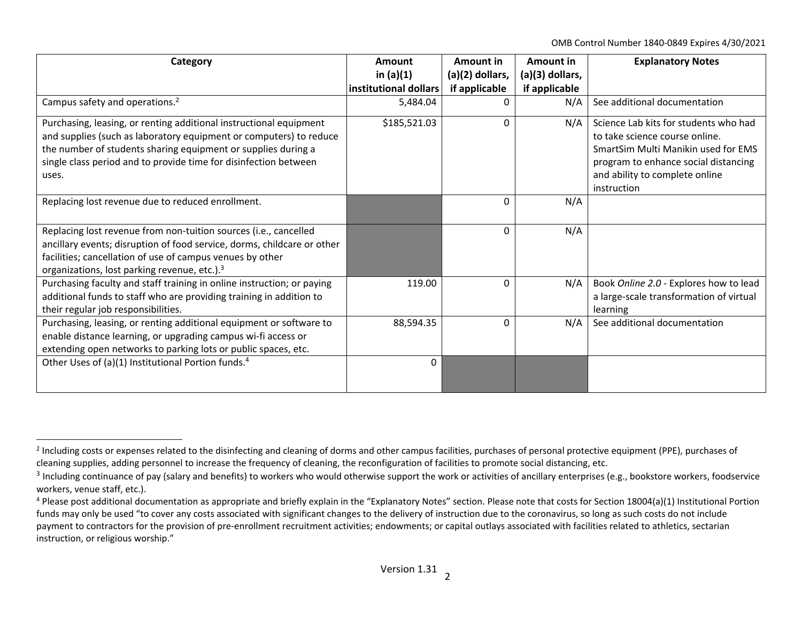OMB Control Number 1840‐0849 Expires 4/30/2021

| Category                                                                                                                                                                                                                                                                               | Amount                | Amount in         | Amount in       | <b>Explanatory Notes</b>                                                                                                                                                                                |
|----------------------------------------------------------------------------------------------------------------------------------------------------------------------------------------------------------------------------------------------------------------------------------------|-----------------------|-------------------|-----------------|---------------------------------------------------------------------------------------------------------------------------------------------------------------------------------------------------------|
|                                                                                                                                                                                                                                                                                        | in $(a)(1)$           | $(a)(2)$ dollars, | (a)(3) dollars, |                                                                                                                                                                                                         |
|                                                                                                                                                                                                                                                                                        | institutional dollars | if applicable     | if applicable   |                                                                                                                                                                                                         |
| Campus safety and operations. <sup>2</sup>                                                                                                                                                                                                                                             | 5,484.04              | 0                 | N/A             | See additional documentation                                                                                                                                                                            |
| Purchasing, leasing, or renting additional instructional equipment<br>and supplies (such as laboratory equipment or computers) to reduce<br>the number of students sharing equipment or supplies during a<br>single class period and to provide time for disinfection between<br>uses. | \$185,521.03          | 0                 | N/A             | Science Lab kits for students who had<br>to take science course online.<br>SmartSim Multi Manikin used for EMS<br>program to enhance social distancing<br>and ability to complete online<br>instruction |
| Replacing lost revenue due to reduced enrollment.                                                                                                                                                                                                                                      |                       | 0                 | N/A             |                                                                                                                                                                                                         |
| Replacing lost revenue from non-tuition sources (i.e., cancelled<br>ancillary events; disruption of food service, dorms, childcare or other<br>facilities; cancellation of use of campus venues by other<br>organizations, lost parking revenue, etc.). <sup>3</sup>                   |                       | 0                 | N/A             |                                                                                                                                                                                                         |
| Purchasing faculty and staff training in online instruction; or paying<br>additional funds to staff who are providing training in addition to<br>their regular job responsibilities.                                                                                                   | 119.00                | 0                 | N/A             | Book Online 2.0 - Explores how to lead<br>a large-scale transformation of virtual<br>learning                                                                                                           |
| Purchasing, leasing, or renting additional equipment or software to<br>enable distance learning, or upgrading campus wi-fi access or<br>extending open networks to parking lots or public spaces, etc.                                                                                 | 88,594.35             | 0                 | N/A             | See additional documentation                                                                                                                                                                            |
| Other Uses of (a)(1) Institutional Portion funds. <sup>4</sup>                                                                                                                                                                                                                         | $\mathbf 0$           |                   |                 |                                                                                                                                                                                                         |

<sup>&</sup>lt;sup>2</sup> Including costs or expenses related to the disinfecting and cleaning of dorms and other campus facilities, purchases of personal protective equipment (PPE), purchases of cleaning supplies, adding personnel to increase the frequency of cleaning, the reconfiguration of facilities to promote social distancing, etc.

<sup>&</sup>lt;sup>3</sup> Including continuance of pay (salary and benefits) to workers who would otherwise support the work or activities of ancillary enterprises (e.g., bookstore workers, foodservice workers, venue staff, etc.).

<sup>&</sup>lt;sup>4</sup> Please post additional documentation as appropriate and briefly explain in the "Explanatory Notes" section. Please note that costs for Section 18004(a)(1) Institutional Portion funds may only be used "to cover any costs associated with significant changes to the delivery of instruction due to the coronavirus, so long as such costs do not include payment to contractors for the provision of pre-enrollment recruitment activities; endowments; or capital outlays associated with facilities related to athletics, sectarian instruction, or religious worship."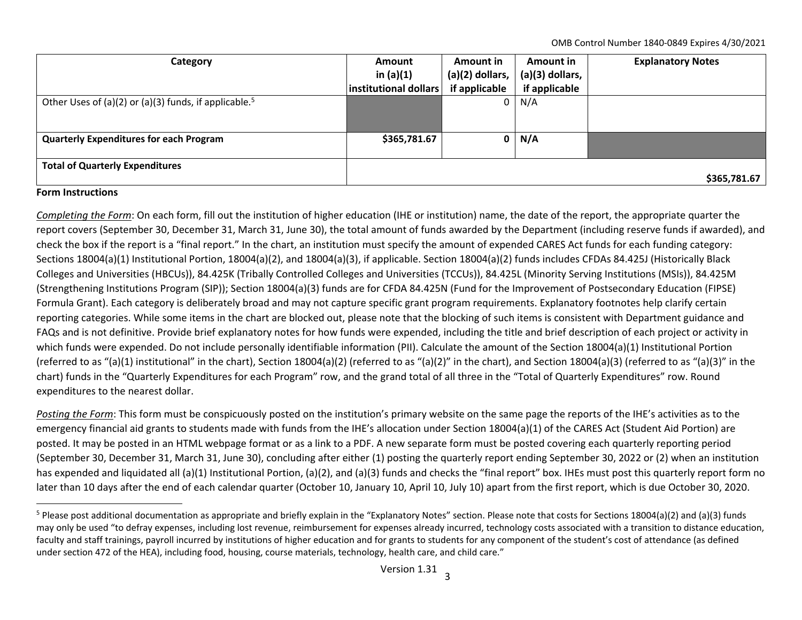OMB Control Number 1840‐0849 Expires 4/30/2021

| Category                                                          | <b>Amount</b>         | Amount in         | Amount in         | <b>Explanatory Notes</b> |
|-------------------------------------------------------------------|-----------------------|-------------------|-------------------|--------------------------|
|                                                                   | in $(a)(1)$           | $(a)(2)$ dollars, | $(a)(3)$ dollars, |                          |
|                                                                   | institutional dollars | if applicable     | if applicable     |                          |
| Other Uses of (a)(2) or (a)(3) funds, if applicable. <sup>5</sup> |                       |                   | $0 \mid N/A$      |                          |
|                                                                   |                       |                   |                   |                          |
|                                                                   |                       |                   |                   |                          |
| <b>Quarterly Expenditures for each Program</b>                    | \$365,781.67          | $\mathbf{0}$      | N/A               |                          |
|                                                                   |                       |                   |                   |                          |
| <b>Total of Quarterly Expenditures</b>                            |                       |                   |                   |                          |
|                                                                   |                       |                   |                   | \$365,781.67             |

## **Form Instructions**

*Completing the Form*: On each form, fill out the institution of higher education (IHE or institution) name, the date of the report, the appropriate quarter the report covers (September 30, December 31, March 31, June 30), the total amount of funds awarded by the Department (including reserve funds if awarded), and check the box if the report is <sup>a</sup> "final report." In the chart, an institution must specify the amount of expended CARES Act funds for each funding category: Sections 18004(a)(1) Institutional Portion, 18004(a)(2), and 18004(a)(3), if applicable. Section 18004(a)(2) funds includes CFDAs 84.425J (Historically Black Colleges and Universities (HBCUs)), 84.425K (Tribally Controlled Colleges and Universities (TCCUs)), 84.425L (Minority Serving Institutions (MSIs)), 84.425M (Strengthening Institutions Program (SIP)); Section 18004(a)(3) funds are for CFDA 84.425N (Fund for the Improvement of Postsecondary Education (FIPSE) Formula Grant). Each category is deliberately broad and may not capture specific grant program requirements. Explanatory footnotes help clarify certain reporting categories. While some items in the chart are blocked out, please note that the blocking of such items is consistent with Department guidance and FAQs and is not definitive. Provide brief explanatory notes for how funds were expended, including the title and brief description of each project or activity in which funds were expended. Do not include personally identifiable information (PII). Calculate the amount of the Section 18004(a)(1) Institutional Portion (referred to as "(a)(1) institutional" in the chart), Section 18004(a)(2) (referred to as "(a)(2)" in the chart), and Section 18004(a)(3) (referred to as "(a)(3)" in the chart) funds in the "Quarterly Expenditures for each Program" row, and the grand total of all three in the "Total of Quarterly Expenditures" row. Round expenditures to the nearest dollar.

*Posting the Form*: This form must be conspicuously posted on the institution's primary website on the same page the reports of the IHE's activities as to the emergency financial aid grants to students made with funds from the IHE's allocation under Section 18004(a)(1) of the CARES Act (Student Aid Portion) are posted. It may be posted in an HTML webpage format or as <sup>a</sup> link to <sup>a</sup> PDF. A new separate form must be posted covering each quarterly reporting period (September 30, December 31, March 31, June 30), concluding after either (1) posting the quarterly report ending September 30, 2022 or (2) when an institution has expended and liquidated all (a)(1) Institutional Portion, (a)(2), and (a)(3) funds and checks the "final report" box. IHEs must post this quarterly report form no later than 10 days after the end of each calendar quarter (October 10, January 10, April 10, July 10) apart from the first report, which is due October 30, 2020.

<sup>&</sup>lt;sup>5</sup> Please post additional documentation as appropriate and briefly explain in the "Explanatory Notes" section. Please note that costs for Sections 18004(a)(2) and (a)(3) funds may only be used "to defray expenses, including lost revenue, reimbursement for expenses already incurred, technology costs associated with <sup>a</sup> transition to distance education, faculty and staff trainings, payroll incurred by institutions of higher education and for grants to students for any component of the student's cost of attendance (as defined under section 472 of the HEA), including food, housing, course materials, technology, health care, and child care."